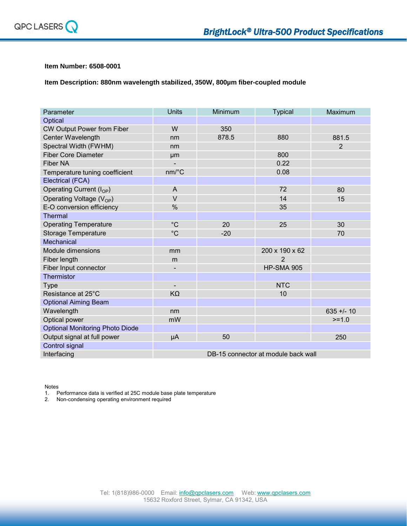

## **Item Number: 6508-0001**

**Item Description: 880nm wavelength stabilized, 350W, 800µm fiber-coupled module**

| Parameter                              | <b>Units</b>                         | Minimum | <b>Typical</b>    | Maximum        |
|----------------------------------------|--------------------------------------|---------|-------------------|----------------|
| Optical                                |                                      |         |                   |                |
| CW Output Power from Fiber             | W                                    | 350     |                   |                |
| Center Wavelength                      | nm                                   | 878.5   | 880               | 881.5          |
| Spectral Width (FWHM)                  | nm                                   |         |                   | $\overline{2}$ |
| <b>Fiber Core Diameter</b>             | µm                                   |         | 800               |                |
| <b>Fiber NA</b>                        | $\overline{\phantom{0}}$             |         | 0.22              |                |
| Temperature tuning coefficient         | $nm$ <sup><math>\circ</math></sup> C |         | 0.08              |                |
| Electrical (FCA)                       |                                      |         |                   |                |
| Operating Current $(I_{OP})$           | A                                    |         | 72                | 80             |
| Operating Voltage $(V_{OP})$           | $\vee$                               |         | 14                | 15             |
| E-O conversion efficiency              | $\frac{0}{0}$                        |         | 35                |                |
| <b>Thermal</b>                         |                                      |         |                   |                |
| <b>Operating Temperature</b>           | $^{\circ}C$                          | 20      | 25                | 30             |
| <b>Storage Temperature</b>             | $^{\circ}C$                          | $-20$   |                   | 70             |
| <b>Mechanical</b>                      |                                      |         |                   |                |
| Module dimensions                      | mm                                   |         | 200 x 190 x 62    |                |
| Fiber length                           | m                                    |         | 2                 |                |
| Fiber Input connector                  | -                                    |         | <b>HP-SMA 905</b> |                |
| <b>Thermistor</b>                      |                                      |         |                   |                |
| Type                                   | $\overline{\phantom{a}}$             |         | <b>NTC</b>        |                |
| Resistance at 25°C                     | $K\Omega$                            |         | 10                |                |
| <b>Optional Aiming Beam</b>            |                                      |         |                   |                |
| Wavelength                             | nm                                   |         |                   | $635 + 1 - 10$ |
| Optical power                          | mW                                   |         |                   | $>=1.0$        |
| <b>Optional Monitoring Photo Diode</b> |                                      |         |                   |                |
| Output signal at full power            | μA                                   | 50      |                   | 250            |
| Control signal                         |                                      |         |                   |                |
| Interfacing                            | DB-15 connector at module back wall  |         |                   |                |

Notes

1. Performance data is verified at 25C module base plate temperature

2. Non-condensing operating environment required